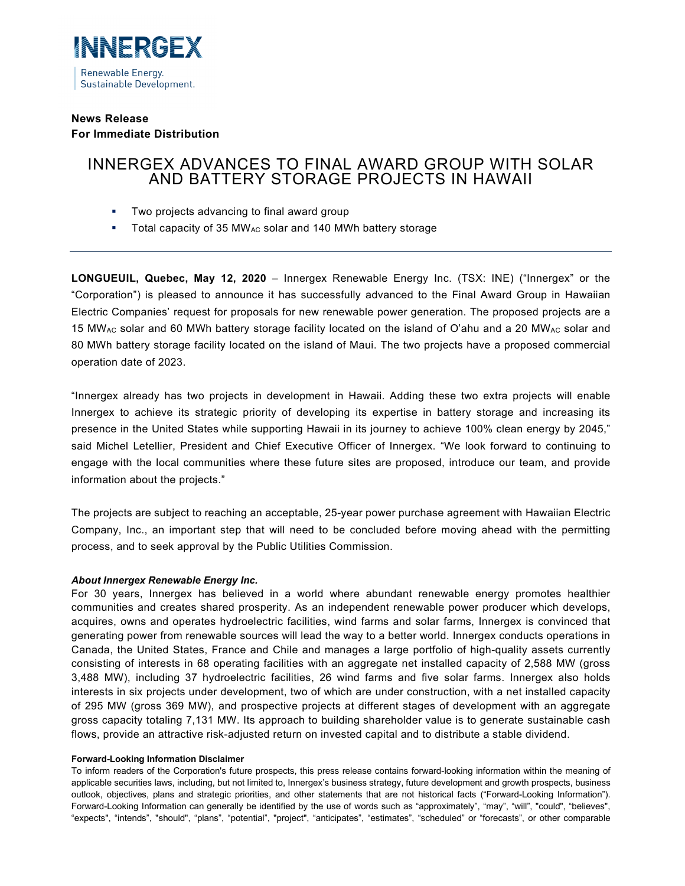

# **News Release For Immediate Distribution**

# INNERGEX ADVANCES TO FINAL AWARD GROUP WITH SOLAR AND BATTERY STORAGE PROJECTS IN HAWAII

- **Two projects advancing to final award group**
- Total capacity of 35 MW<sub>AC</sub> solar and 140 MWh battery storage

**LONGUEUIL, Quebec, May 12, 2020** – Innergex Renewable Energy Inc. (TSX: INE) ("Innergex" or the "Corporation") is pleased to announce it has successfully advanced to the Final Award Group in Hawaiian Electric Companies' request for proposals for new renewable power generation. The proposed projects are a 15 MW<sub>AC</sub> solar and 60 MWh battery storage facility located on the island of O'ahu and a 20 MW<sub>AC</sub> solar and 80 MWh battery storage facility located on the island of Maui. The two projects have a proposed commercial operation date of 2023.

"Innergex already has two projects in development in Hawaii. Adding these two extra projects will enable Innergex to achieve its strategic priority of developing its expertise in battery storage and increasing its presence in the United States while supporting Hawaii in its journey to achieve 100% clean energy by 2045," said Michel Letellier, President and Chief Executive Officer of Innergex. "We look forward to continuing to engage with the local communities where these future sites are proposed, introduce our team, and provide information about the projects."

The projects are subject to reaching an acceptable, 25-year power purchase agreement with Hawaiian Electric Company, Inc., an important step that will need to be concluded before moving ahead with the permitting process, and to seek approval by the Public Utilities Commission.

## *About Innergex Renewable Energy Inc.*

For 30 years, Innergex has believed in a world where abundant renewable energy promotes healthier communities and creates shared prosperity. As an independent renewable power producer which develops, acquires, owns and operates hydroelectric facilities, wind farms and solar farms, Innergex is convinced that generating power from renewable sources will lead the way to a better world. Innergex conducts operations in Canada, the United States, France and Chile and manages a large portfolio of high-quality assets currently consisting of interests in 68 operating facilities with an aggregate net installed capacity of 2,588 MW (gross 3,488 MW), including 37 hydroelectric facilities, 26 wind farms and five solar farms. Innergex also holds interests in six projects under development, two of which are under construction, with a net installed capacity of 295 MW (gross 369 MW), and prospective projects at different stages of development with an aggregate gross capacity totaling 7,131 MW. Its approach to building shareholder value is to generate sustainable cash flows, provide an attractive risk-adjusted return on invested capital and to distribute a stable dividend.

#### **Forward-Looking Information Disclaimer**

To inform readers of the Corporation's future prospects, this press release contains forward-looking information within the meaning of applicable securities laws, including, but not limited to, Innergex's business strategy, future development and growth prospects, business outlook, objectives, plans and strategic priorities, and other statements that are not historical facts ("Forward-Looking Information"). Forward-Looking Information can generally be identified by the use of words such as "approximately", "may", "will", "could", "believes", "expects", "intends", "should", "plans", "potential", "project", "anticipates", "estimates", "scheduled" or "forecasts", or other comparable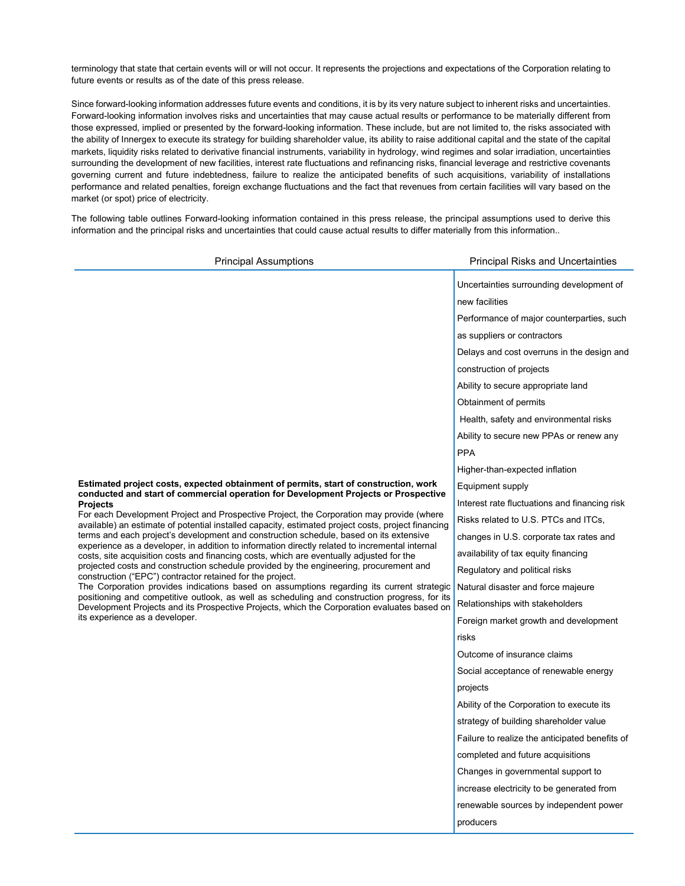terminology that state that certain events will or will not occur. It represents the projections and expectations of the Corporation relating to future events or results as of the date of this press release.

Since forward-looking information addresses future events and conditions, it is by its very nature subject to inherent risks and uncertainties. Forward-looking information involves risks and uncertainties that may cause actual results or performance to be materially different from those expressed, implied or presented by the forward-looking information. These include, but are not limited to, the risks associated with the ability of Innergex to execute its strategy for building shareholder value, its ability to raise additional capital and the state of the capital markets, liquidity risks related to derivative financial instruments, variability in hydrology, wind regimes and solar irradiation, uncertainties surrounding the development of new facilities, interest rate fluctuations and refinancing risks, financial leverage and restrictive covenants governing current and future indebtedness, failure to realize the anticipated benefits of such acquisitions, variability of installations performance and related penalties, foreign exchange fluctuations and the fact that revenues from certain facilities will vary based on the market (or spot) price of electricity.

The following table outlines Forward-looking information contained in this press release, the principal assumptions used to derive this information and the principal risks and uncertainties that could cause actual results to differ materially from this information..

| <b>Principal Assumptions</b>                                                                                                                                                                                                                                                                                                                                                                                                                                                                                                                                                                                                                                                                                                                                                                                                                                                                                                                                                                                                                                                                                                                                                   | <b>Principal Risks and Uncertainties</b>       |
|--------------------------------------------------------------------------------------------------------------------------------------------------------------------------------------------------------------------------------------------------------------------------------------------------------------------------------------------------------------------------------------------------------------------------------------------------------------------------------------------------------------------------------------------------------------------------------------------------------------------------------------------------------------------------------------------------------------------------------------------------------------------------------------------------------------------------------------------------------------------------------------------------------------------------------------------------------------------------------------------------------------------------------------------------------------------------------------------------------------------------------------------------------------------------------|------------------------------------------------|
| Estimated project costs, expected obtainment of permits, start of construction, work<br>conducted and start of commercial operation for Development Projects or Prospective<br><b>Projects</b><br>For each Development Project and Prospective Project, the Corporation may provide (where<br>available) an estimate of potential installed capacity, estimated project costs, project financing<br>terms and each project's development and construction schedule, based on its extensive<br>experience as a developer, in addition to information directly related to incremental internal<br>costs, site acquisition costs and financing costs, which are eventually adjusted for the<br>projected costs and construction schedule provided by the engineering, procurement and<br>construction ("EPC") contractor retained for the project.<br>The Corporation provides indications based on assumptions regarding its current strategic<br>positioning and competitive outlook, as well as scheduling and construction progress, for its<br>Development Projects and its Prospective Projects, which the Corporation evaluates based on<br>its experience as a developer. | Uncertainties surrounding development of       |
|                                                                                                                                                                                                                                                                                                                                                                                                                                                                                                                                                                                                                                                                                                                                                                                                                                                                                                                                                                                                                                                                                                                                                                                | new facilities                                 |
|                                                                                                                                                                                                                                                                                                                                                                                                                                                                                                                                                                                                                                                                                                                                                                                                                                                                                                                                                                                                                                                                                                                                                                                | Performance of major counterparties, such      |
|                                                                                                                                                                                                                                                                                                                                                                                                                                                                                                                                                                                                                                                                                                                                                                                                                                                                                                                                                                                                                                                                                                                                                                                | as suppliers or contractors                    |
|                                                                                                                                                                                                                                                                                                                                                                                                                                                                                                                                                                                                                                                                                                                                                                                                                                                                                                                                                                                                                                                                                                                                                                                | Delays and cost overruns in the design and     |
|                                                                                                                                                                                                                                                                                                                                                                                                                                                                                                                                                                                                                                                                                                                                                                                                                                                                                                                                                                                                                                                                                                                                                                                | construction of projects                       |
|                                                                                                                                                                                                                                                                                                                                                                                                                                                                                                                                                                                                                                                                                                                                                                                                                                                                                                                                                                                                                                                                                                                                                                                | Ability to secure appropriate land             |
|                                                                                                                                                                                                                                                                                                                                                                                                                                                                                                                                                                                                                                                                                                                                                                                                                                                                                                                                                                                                                                                                                                                                                                                | Obtainment of permits                          |
|                                                                                                                                                                                                                                                                                                                                                                                                                                                                                                                                                                                                                                                                                                                                                                                                                                                                                                                                                                                                                                                                                                                                                                                | Health, safety and environmental risks         |
|                                                                                                                                                                                                                                                                                                                                                                                                                                                                                                                                                                                                                                                                                                                                                                                                                                                                                                                                                                                                                                                                                                                                                                                | Ability to secure new PPAs or renew any        |
|                                                                                                                                                                                                                                                                                                                                                                                                                                                                                                                                                                                                                                                                                                                                                                                                                                                                                                                                                                                                                                                                                                                                                                                | <b>PPA</b>                                     |
|                                                                                                                                                                                                                                                                                                                                                                                                                                                                                                                                                                                                                                                                                                                                                                                                                                                                                                                                                                                                                                                                                                                                                                                | Higher-than-expected inflation                 |
|                                                                                                                                                                                                                                                                                                                                                                                                                                                                                                                                                                                                                                                                                                                                                                                                                                                                                                                                                                                                                                                                                                                                                                                | Equipment supply                               |
|                                                                                                                                                                                                                                                                                                                                                                                                                                                                                                                                                                                                                                                                                                                                                                                                                                                                                                                                                                                                                                                                                                                                                                                | Interest rate fluctuations and financing risk  |
|                                                                                                                                                                                                                                                                                                                                                                                                                                                                                                                                                                                                                                                                                                                                                                                                                                                                                                                                                                                                                                                                                                                                                                                | Risks related to U.S. PTCs and ITCs,           |
|                                                                                                                                                                                                                                                                                                                                                                                                                                                                                                                                                                                                                                                                                                                                                                                                                                                                                                                                                                                                                                                                                                                                                                                | changes in U.S. corporate tax rates and        |
|                                                                                                                                                                                                                                                                                                                                                                                                                                                                                                                                                                                                                                                                                                                                                                                                                                                                                                                                                                                                                                                                                                                                                                                | availability of tax equity financing           |
|                                                                                                                                                                                                                                                                                                                                                                                                                                                                                                                                                                                                                                                                                                                                                                                                                                                                                                                                                                                                                                                                                                                                                                                | Regulatory and political risks                 |
|                                                                                                                                                                                                                                                                                                                                                                                                                                                                                                                                                                                                                                                                                                                                                                                                                                                                                                                                                                                                                                                                                                                                                                                | Natural disaster and force majeure             |
|                                                                                                                                                                                                                                                                                                                                                                                                                                                                                                                                                                                                                                                                                                                                                                                                                                                                                                                                                                                                                                                                                                                                                                                | Relationships with stakeholders                |
|                                                                                                                                                                                                                                                                                                                                                                                                                                                                                                                                                                                                                                                                                                                                                                                                                                                                                                                                                                                                                                                                                                                                                                                | Foreign market growth and development          |
|                                                                                                                                                                                                                                                                                                                                                                                                                                                                                                                                                                                                                                                                                                                                                                                                                                                                                                                                                                                                                                                                                                                                                                                | risks                                          |
|                                                                                                                                                                                                                                                                                                                                                                                                                                                                                                                                                                                                                                                                                                                                                                                                                                                                                                                                                                                                                                                                                                                                                                                | Outcome of insurance claims                    |
|                                                                                                                                                                                                                                                                                                                                                                                                                                                                                                                                                                                                                                                                                                                                                                                                                                                                                                                                                                                                                                                                                                                                                                                | Social acceptance of renewable energy          |
|                                                                                                                                                                                                                                                                                                                                                                                                                                                                                                                                                                                                                                                                                                                                                                                                                                                                                                                                                                                                                                                                                                                                                                                | projects                                       |
|                                                                                                                                                                                                                                                                                                                                                                                                                                                                                                                                                                                                                                                                                                                                                                                                                                                                                                                                                                                                                                                                                                                                                                                | Ability of the Corporation to execute its      |
|                                                                                                                                                                                                                                                                                                                                                                                                                                                                                                                                                                                                                                                                                                                                                                                                                                                                                                                                                                                                                                                                                                                                                                                | strategy of building shareholder value         |
|                                                                                                                                                                                                                                                                                                                                                                                                                                                                                                                                                                                                                                                                                                                                                                                                                                                                                                                                                                                                                                                                                                                                                                                | Failure to realize the anticipated benefits of |
|                                                                                                                                                                                                                                                                                                                                                                                                                                                                                                                                                                                                                                                                                                                                                                                                                                                                                                                                                                                                                                                                                                                                                                                | completed and future acquisitions              |
|                                                                                                                                                                                                                                                                                                                                                                                                                                                                                                                                                                                                                                                                                                                                                                                                                                                                                                                                                                                                                                                                                                                                                                                | Changes in governmental support to             |
|                                                                                                                                                                                                                                                                                                                                                                                                                                                                                                                                                                                                                                                                                                                                                                                                                                                                                                                                                                                                                                                                                                                                                                                | increase electricity to be generated from      |
|                                                                                                                                                                                                                                                                                                                                                                                                                                                                                                                                                                                                                                                                                                                                                                                                                                                                                                                                                                                                                                                                                                                                                                                | renewable sources by independent power         |
|                                                                                                                                                                                                                                                                                                                                                                                                                                                                                                                                                                                                                                                                                                                                                                                                                                                                                                                                                                                                                                                                                                                                                                                | producers                                      |